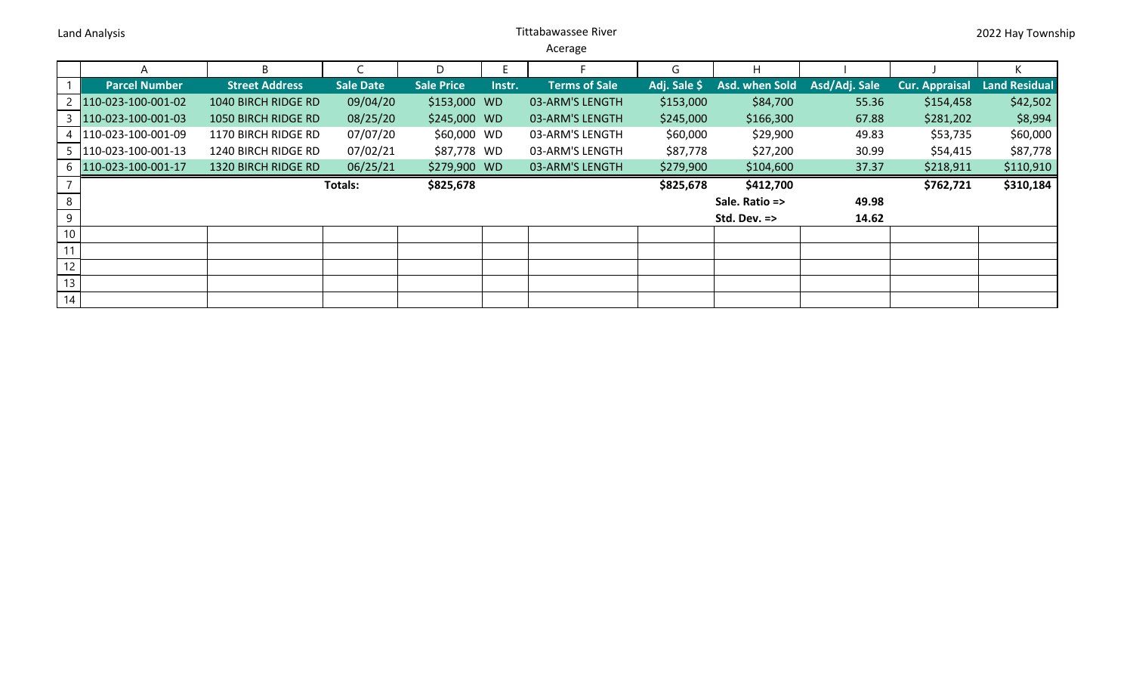Land Analysis **National Analysis** Controllering Controllering Controllering Controllering Controllering Controllering Controllering Controllering Controllering Controllering Controllering Controllering Controllering Contro

Acerage

|                 | А                      | B.                    |                  | D                 |        |                      | G            | H                       |               |                       |                      |
|-----------------|------------------------|-----------------------|------------------|-------------------|--------|----------------------|--------------|-------------------------|---------------|-----------------------|----------------------|
|                 | <b>Parcel Number</b>   | <b>Street Address</b> | <b>Sale Date</b> | <b>Sale Price</b> | Instr. | <b>Terms of Sale</b> | Adj. Sale \$ | Asd. when Sold          | Asd/Adj. Sale | <b>Cur. Appraisal</b> | <b>Land Residual</b> |
|                 | 2 110-023-100-001-02   | 1040 BIRCH RIDGE RD   | 09/04/20         | \$153,000 WD      |        | 03-ARM'S LENGTH      | \$153,000    | \$84,700                | 55.36         | \$154,458             | \$42,502             |
|                 | 110-023-100-001-03     | 1050 BIRCH RIDGE RD   | 08/25/20         | \$245,000 WD      |        | 03-ARM'S LENGTH      | \$245,000    | \$166,300               | 67.88         | \$281,202             | \$8,994              |
|                 | 4   110-023-100-001-09 | 1170 BIRCH RIDGE RD   | 07/07/20         | \$60,000 WD       |        | 03-ARM'S LENGTH      | \$60,000     | \$29,900                | 49.83         | \$53,735              | \$60,000             |
|                 | 5 110-023-100-001-13   | 1240 BIRCH RIDGE RD   | 07/02/21         | \$87,778 WD       |        | 03-ARM'S LENGTH      | \$87,778     | \$27,200                | 30.99         | \$54,415              | \$87,778             |
|                 | 6 110-023-100-001-17   | 1320 BIRCH RIDGE RD   | 06/25/21         | \$279,900 WD      |        | 03-ARM'S LENGTH      | \$279,900    | \$104,600               | 37.37         | \$218,911             | \$110,910            |
|                 |                        |                       | Totals:          | \$825,678         |        |                      | \$825,678    | \$412,700               |               | \$762,721             | \$310,184            |
| 8               |                        |                       |                  |                   |        |                      |              | Sale. Ratio =>          | 49.98         |                       |                      |
| 9               |                        |                       |                  |                   |        |                      |              | Std. Dev. $\Rightarrow$ | 14.62         |                       |                      |
| 10 <sup>°</sup> |                        |                       |                  |                   |        |                      |              |                         |               |                       |                      |
| 11              |                        |                       |                  |                   |        |                      |              |                         |               |                       |                      |
| 12              |                        |                       |                  |                   |        |                      |              |                         |               |                       |                      |
| 13 <sub>1</sub> |                        |                       |                  |                   |        |                      |              |                         |               |                       |                      |
| 14              |                        |                       |                  |                   |        |                      |              |                         |               |                       |                      |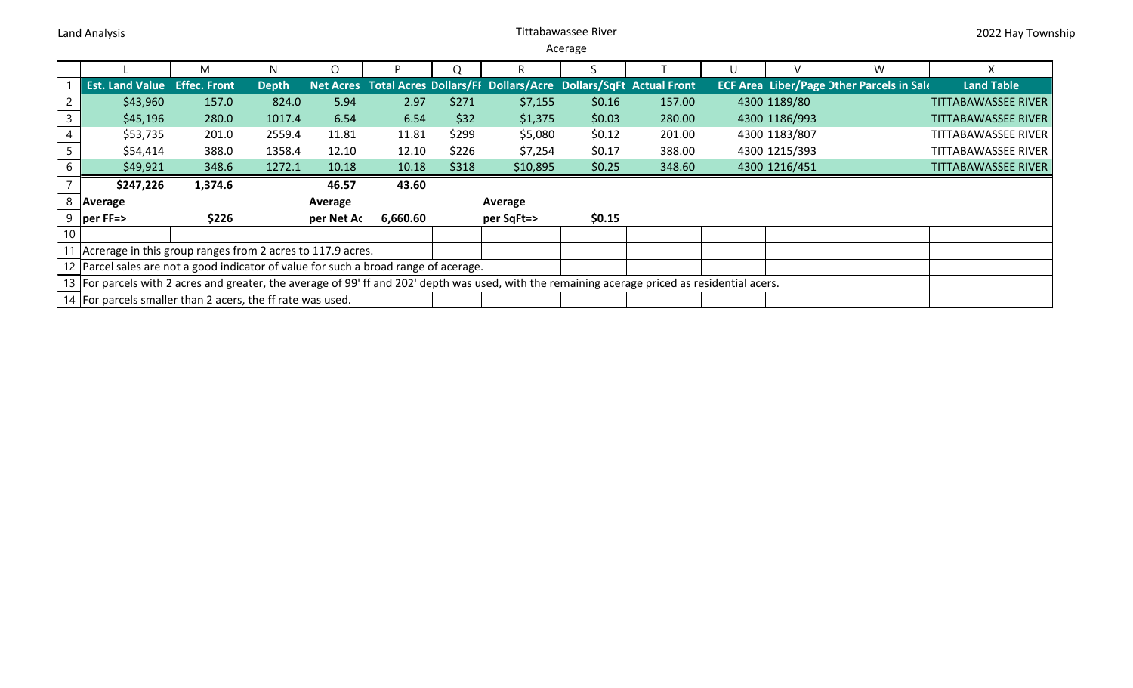## Land Analysis **National Analysis** Controllering Controllering Controllering Controllering Controllering Controllering Controllering Controllering Controllering Controllering Controllering Controllering Controllering Contro

Acerage

|                 |                                                                                                                                                 | M                               | N            | $\Omega$ |            | Ω       |                                                                         |        |        | U |               | W                                                |                            |
|-----------------|-------------------------------------------------------------------------------------------------------------------------------------------------|---------------------------------|--------------|----------|------------|---------|-------------------------------------------------------------------------|--------|--------|---|---------------|--------------------------------------------------|----------------------------|
|                 | <b>Est. Land Value Effec. Front</b>                                                                                                             |                                 | <b>Depth</b> |          |            |         | Net Acres Total Acres Dollars/FI Dollars/Acre Dollars/SqFt Actual Front |        |        |   |               | <b>ECF Area Liber/Page Other Parcels in Sale</b> | <b>Land Table</b>          |
|                 | \$43,960                                                                                                                                        | 157.0                           | 824.0        | 5.94     | 2.97       | \$271   | \$7,155                                                                 | \$0.16 | 157.00 |   | 4300 1189/80  |                                                  | <b>TITTABAWASSEE RIVER</b> |
|                 | \$45,196                                                                                                                                        | 280.0                           | 1017.4       | 6.54     | 6.54       | \$32    | \$1,375                                                                 | \$0.03 | 280.00 |   | 4300 1186/993 |                                                  | <b>TITTABAWASSEE RIVER</b> |
|                 | \$53,735                                                                                                                                        | 201.0                           | 2559.4       | 11.81    | 11.81      | \$299   | \$5,080                                                                 | \$0.12 | 201.00 |   | 4300 1183/807 |                                                  | TITTABAWASSEE RIVER        |
|                 | \$54,414                                                                                                                                        | 388.0                           | 1358.4       | 12.10    | 12.10      | \$226   | \$7,254                                                                 | \$0.17 | 388.00 |   | 4300 1215/393 |                                                  | <b>TITTABAWASSEE RIVER</b> |
| 6               | \$49,921                                                                                                                                        | 348.6                           | 1272.1       | 10.18    | 10.18      | \$318   | \$10,895                                                                | \$0.25 | 348.60 |   | 4300 1216/451 |                                                  | <b>TITTABAWASSEE RIVER</b> |
|                 | \$247,226                                                                                                                                       | 1,374.6                         |              | 46.57    | 43.60      |         |                                                                         |        |        |   |               |                                                  |                            |
|                 | 8   Average                                                                                                                                     |                                 | Average      |          |            | Average |                                                                         |        |        |   |               |                                                  |                            |
|                 | $9$  per FF=>                                                                                                                                   | \$226<br>6,660.60<br>per Net Ac |              |          | per SqFt=> |         |                                                                         |        |        |   |               |                                                  |                            |
| 10 <sup>1</sup> |                                                                                                                                                 |                                 |              |          |            |         |                                                                         |        |        |   |               |                                                  |                            |
|                 | 11 Acrerage in this group ranges from 2 acres to 117.9 acres.                                                                                   |                                 |              |          |            |         |                                                                         |        |        |   |               |                                                  |                            |
|                 | 12 Parcel sales are not a good indicator of value for such a broad range of acerage.                                                            |                                 |              |          |            |         |                                                                         |        |        |   |               |                                                  |                            |
|                 | 13 For parcels with 2 acres and greater, the average of 99' ff and 202' depth was used, with the remaining acerage priced as residential acers. |                                 |              |          |            |         |                                                                         |        |        |   |               |                                                  |                            |
|                 | 14 For parcels smaller than 2 acers, the ff rate was used.                                                                                      |                                 |              |          |            |         |                                                                         |        |        |   |               |                                                  |                            |